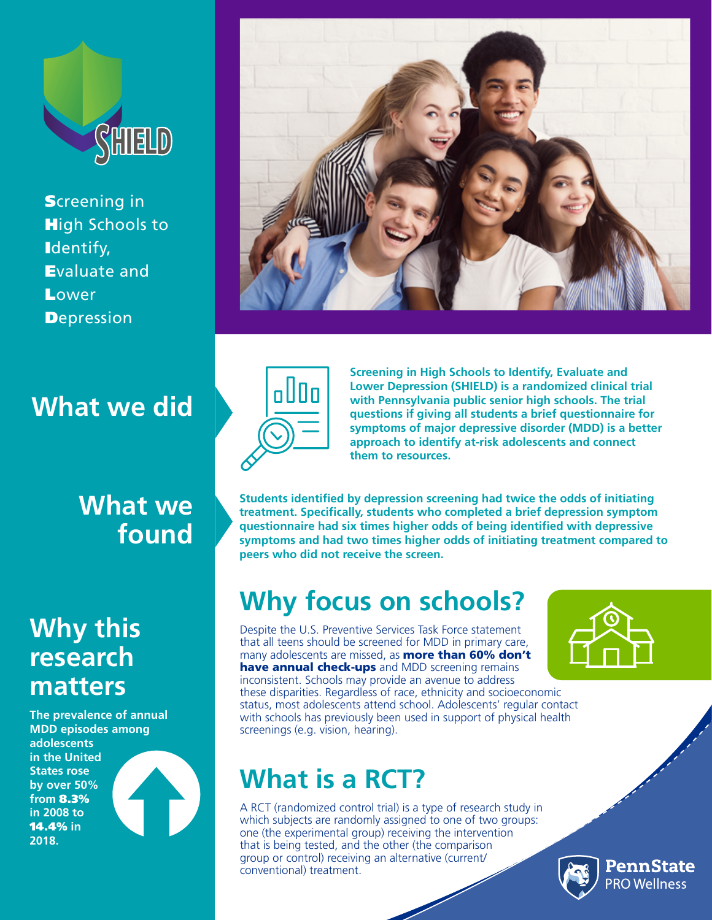

**Screening in High Schools to** Identify, Evaluate and **Lower Depression** 

### **What we did**



## **Why this research matters**

**The prevalence of annual MDD episodes among adolescents in the United States rose by over 50% from** 8.3% **in 2008 to**  14.4% **in 2018.** 







**Screening in High Schools to Identify, Evaluate and Lower Depression (SHIELD) is a randomized clinical trial with Pennsylvania public senior high schools. The trial questions if giving all students a brief questionnaire for symptoms of major depressive disorder (MDD) is a better approach to identify at-risk adolescents and connect them to resources.**

**Students identified by depression screening had twice the odds of initiating treatment. Specifically, students who completed a brief depression symptom questionnaire had six times higher odds of being identified with depressive symptoms and had two times higher odds of initiating treatment compared to peers who did not receive the screen.**

## **Why focus on schools?**

Despite the U.S. Preventive Services Task Force statement that all teens should be screened for MDD in primary care, many adolescents are missed, as **more than 60% don't** have annual check-ups and MDD screening remains inconsistent. Schools may provide an avenue to address these disparities. Regardless of race, ethnicity and socioeconomic status, most adolescents attend school. Adolescents' regular contact with schools has previously been used in support of physical health screenings (e.g. vision, hearing).

# **What is a RCT?**

A RCT (randomized control trial) is a type of research study in which subjects are randomly assigned to one of two groups: one (the experimental group) receiving the intervention that is being tested, and the other (the comparison group or control) receiving an alternative (current/ conventional) treatment.